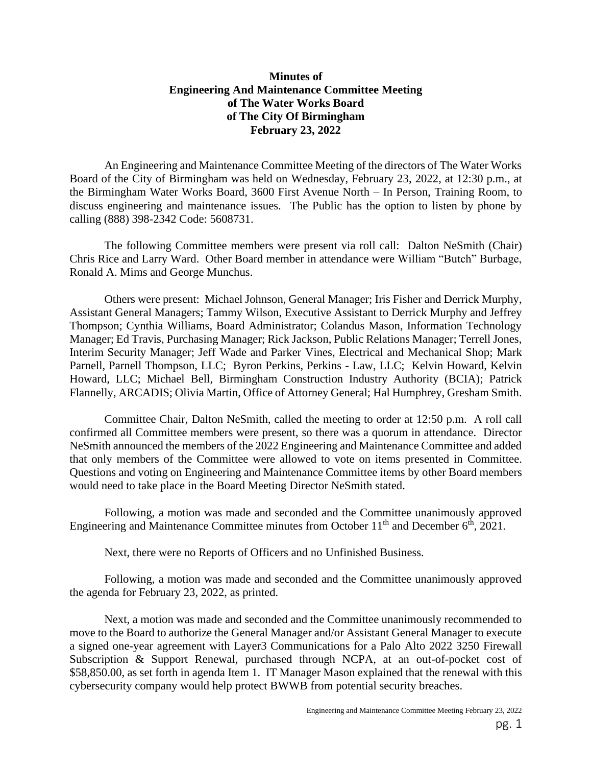## **Minutes of Engineering And Maintenance Committee Meeting of The Water Works Board of The City Of Birmingham February 23, 2022**

An Engineering and Maintenance Committee Meeting of the directors of The Water Works Board of the City of Birmingham was held on Wednesday, February 23, 2022, at 12:30 p.m., at the Birmingham Water Works Board, 3600 First Avenue North – In Person, Training Room, to discuss engineering and maintenance issues. The Public has the option to listen by phone by calling (888) 398-2342 Code: 5608731.

The following Committee members were present via roll call: Dalton NeSmith (Chair) Chris Rice and Larry Ward. Other Board member in attendance were William "Butch" Burbage, Ronald A. Mims and George Munchus.

Others were present: Michael Johnson, General Manager; Iris Fisher and Derrick Murphy, Assistant General Managers; Tammy Wilson, Executive Assistant to Derrick Murphy and Jeffrey Thompson; Cynthia Williams, Board Administrator; Colandus Mason, Information Technology Manager; Ed Travis, Purchasing Manager; Rick Jackson, Public Relations Manager; Terrell Jones, Interim Security Manager; Jeff Wade and Parker Vines, Electrical and Mechanical Shop; Mark Parnell, Parnell Thompson, LLC; Byron Perkins, Perkins - Law, LLC; Kelvin Howard, Kelvin Howard, LLC; Michael Bell, Birmingham Construction Industry Authority (BCIA); Patrick Flannelly, ARCADIS; Olivia Martin, Office of Attorney General; Hal Humphrey, Gresham Smith.

Committee Chair, Dalton NeSmith, called the meeting to order at 12:50 p.m. A roll call confirmed all Committee members were present, so there was a quorum in attendance. Director NeSmith announced the members of the 2022 Engineering and Maintenance Committee and added that only members of the Committee were allowed to vote on items presented in Committee. Questions and voting on Engineering and Maintenance Committee items by other Board members would need to take place in the Board Meeting Director NeSmith stated.

Following, a motion was made and seconded and the Committee unanimously approved Engineering and Maintenance Committee minutes from October  $11<sup>th</sup>$  and December  $6<sup>th</sup>$ , 2021.

Next, there were no Reports of Officers and no Unfinished Business.

Following, a motion was made and seconded and the Committee unanimously approved the agenda for February 23, 2022, as printed.

Next, a motion was made and seconded and the Committee unanimously recommended to move to the Board to authorize the General Manager and/or Assistant General Manager to execute a signed one-year agreement with Layer3 Communications for a Palo Alto 2022 3250 Firewall Subscription & Support Renewal, purchased through NCPA, at an out-of-pocket cost of \$58,850.00, as set forth in agenda Item 1. IT Manager Mason explained that the renewal with this cybersecurity company would help protect BWWB from potential security breaches.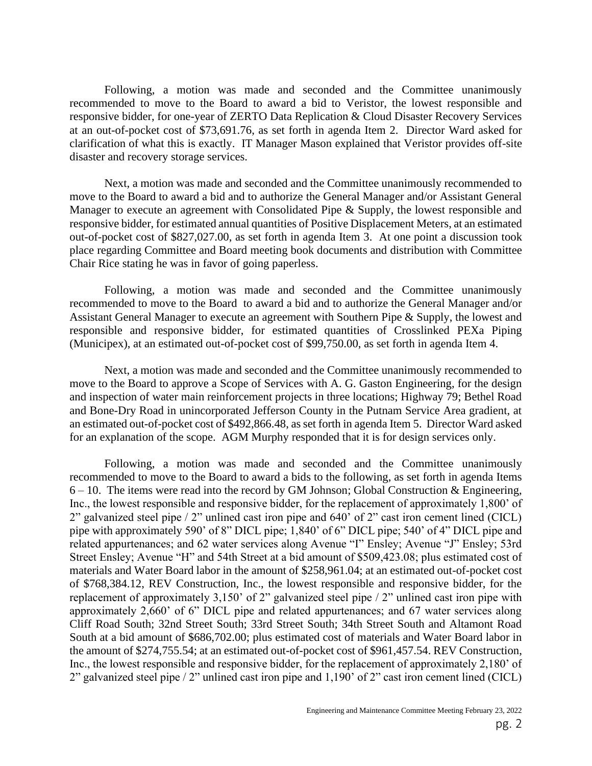Following, a motion was made and seconded and the Committee unanimously recommended to move to the Board to award a bid to Veristor, the lowest responsible and responsive bidder, for one-year of ZERTO Data Replication & Cloud Disaster Recovery Services at an out-of-pocket cost of \$73,691.76, as set forth in agenda Item 2. Director Ward asked for clarification of what this is exactly. IT Manager Mason explained that Veristor provides off-site disaster and recovery storage services.

Next, a motion was made and seconded and the Committee unanimously recommended to move to the Board to award a bid and to authorize the General Manager and/or Assistant General Manager to execute an agreement with Consolidated Pipe & Supply, the lowest responsible and responsive bidder, for estimated annual quantities of Positive Displacement Meters, at an estimated out-of-pocket cost of \$827,027.00, as set forth in agenda Item 3. At one point a discussion took place regarding Committee and Board meeting book documents and distribution with Committee Chair Rice stating he was in favor of going paperless.

Following, a motion was made and seconded and the Committee unanimously recommended to move to the Board to award a bid and to authorize the General Manager and/or Assistant General Manager to execute an agreement with Southern Pipe & Supply, the lowest and responsible and responsive bidder, for estimated quantities of Crosslinked PEXa Piping (Municipex), at an estimated out-of-pocket cost of \$99,750.00, as set forth in agenda Item 4.

Next, a motion was made and seconded and the Committee unanimously recommended to move to the Board to approve a Scope of Services with A. G. Gaston Engineering, for the design and inspection of water main reinforcement projects in three locations; Highway 79; Bethel Road and Bone-Dry Road in unincorporated Jefferson County in the Putnam Service Area gradient, at an estimated out-of-pocket cost of \$492,866.48, as set forth in agenda Item 5. Director Ward asked for an explanation of the scope. AGM Murphy responded that it is for design services only.

Following, a motion was made and seconded and the Committee unanimously recommended to move to the Board to award a bids to the following, as set forth in agenda Items  $6 - 10$ . The items were read into the record by GM Johnson; Global Construction & Engineering, Inc., the lowest responsible and responsive bidder, for the replacement of approximately 1,800' of 2" galvanized steel pipe / 2" unlined cast iron pipe and 640' of 2" cast iron cement lined (CICL) pipe with approximately 590' of 8" DICL pipe; 1,840' of 6" DICL pipe; 540' of 4" DICL pipe and related appurtenances; and 62 water services along Avenue "I" Ensley; Avenue "J" Ensley; 53rd Street Ensley; Avenue "H" and 54th Street at a bid amount of \$509,423.08; plus estimated cost of materials and Water Board labor in the amount of \$258,961.04; at an estimated out-of-pocket cost of \$768,384.12, REV Construction, Inc., the lowest responsible and responsive bidder, for the replacement of approximately 3,150' of 2" galvanized steel pipe / 2" unlined cast iron pipe with approximately 2,660' of 6" DICL pipe and related appurtenances; and 67 water services along Cliff Road South; 32nd Street South; 33rd Street South; 34th Street South and Altamont Road South at a bid amount of \$686,702.00; plus estimated cost of materials and Water Board labor in the amount of \$274,755.54; at an estimated out-of-pocket cost of \$961,457.54. REV Construction, Inc., the lowest responsible and responsive bidder, for the replacement of approximately 2,180' of 2" galvanized steel pipe / 2" unlined cast iron pipe and 1,190' of 2" cast iron cement lined (CICL)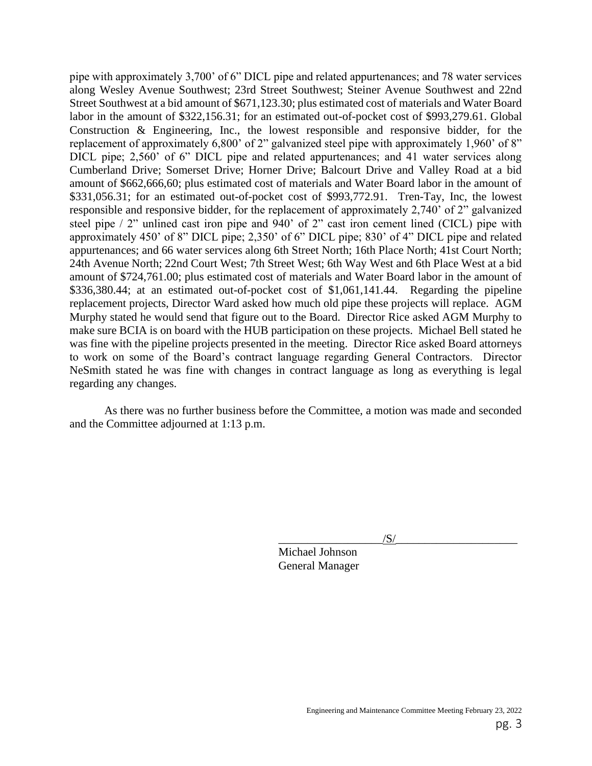pipe with approximately 3,700' of 6" DICL pipe and related appurtenances; and 78 water services along Wesley Avenue Southwest; 23rd Street Southwest; Steiner Avenue Southwest and 22nd Street Southwest at a bid amount of \$671,123.30; plus estimated cost of materials and Water Board labor in the amount of \$322,156.31; for an estimated out-of-pocket cost of \$993,279.61. Global Construction & Engineering, Inc., the lowest responsible and responsive bidder, for the replacement of approximately 6,800' of 2" galvanized steel pipe with approximately 1,960' of 8" DICL pipe; 2,560' of 6" DICL pipe and related appurtenances; and 41 water services along Cumberland Drive; Somerset Drive; Horner Drive; Balcourt Drive and Valley Road at a bid amount of \$662,666,60; plus estimated cost of materials and Water Board labor in the amount of \$331,056.31; for an estimated out-of-pocket cost of \$993,772.91. Tren-Tay, Inc, the lowest responsible and responsive bidder, for the replacement of approximately 2,740' of 2" galvanized steel pipe / 2" unlined cast iron pipe and 940' of 2" cast iron cement lined (CICL) pipe with approximately 450' of 8" DICL pipe; 2,350' of 6" DICL pipe; 830' of 4" DICL pipe and related appurtenances; and 66 water services along 6th Street North; 16th Place North; 41st Court North; 24th Avenue North; 22nd Court West; 7th Street West; 6th Way West and 6th Place West at a bid amount of \$724,761.00; plus estimated cost of materials and Water Board labor in the amount of \$336,380.44; at an estimated out-of-pocket cost of \$1,061,141.44. Regarding the pipeline replacement projects, Director Ward asked how much old pipe these projects will replace. AGM Murphy stated he would send that figure out to the Board. Director Rice asked AGM Murphy to make sure BCIA is on board with the HUB participation on these projects. Michael Bell stated he was fine with the pipeline projects presented in the meeting. Director Rice asked Board attorneys to work on some of the Board's contract language regarding General Contractors. Director NeSmith stated he was fine with changes in contract language as long as everything is legal regarding any changes.

As there was no further business before the Committee, a motion was made and seconded and the Committee adjourned at 1:13 p.m.

 $\sqrt{S/}$ 

 Michael Johnson General Manager